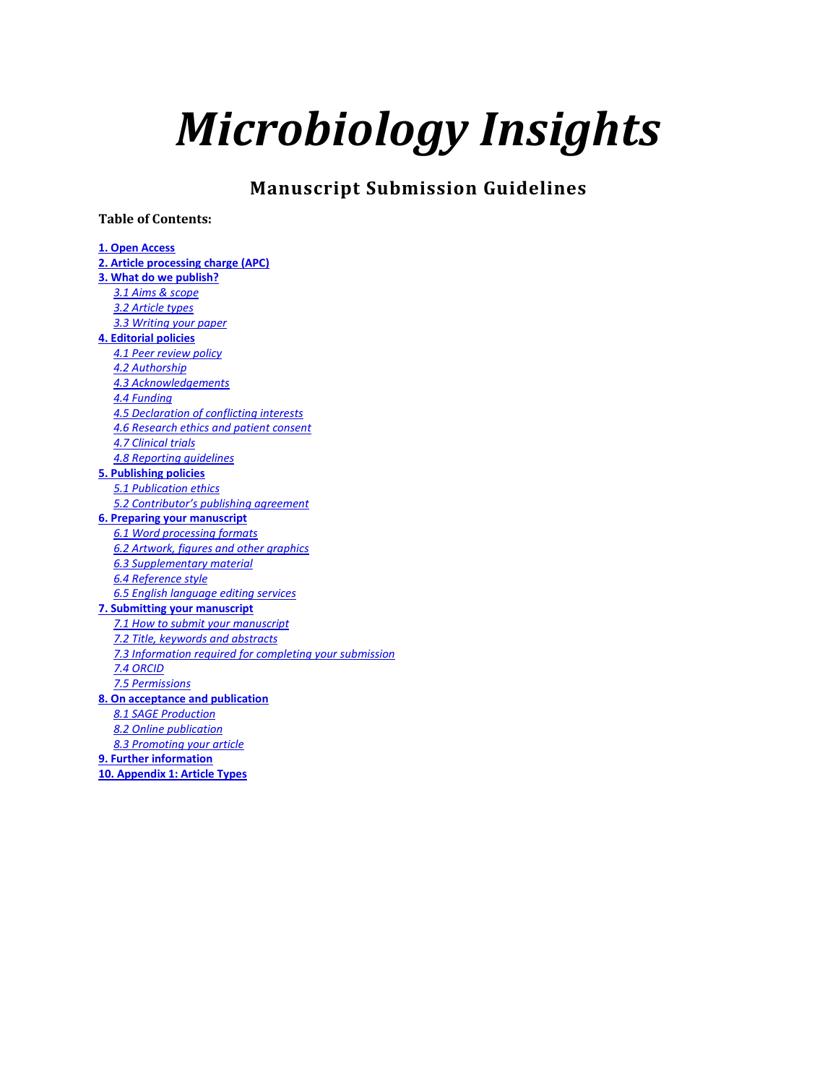# <span id="page-0-0"></span>*Microbiology Insights*

# **Manuscript Submission Guidelines**

**Table of Contents:**

#### **[1. Open Access](#page-1-0) [2. Article processing charge \(APC\)](#page-1-1) [3. What do we publish?](#page-2-0)** *[3.1 Aims & scope](#page-2-1) [3.2 Article types](#page-2-2) [3.3 Writing your paper](#page-2-3)* **[4. Editorial policies](#page-2-4)** *[4.1 Peer review policy](#page-2-5) [4.2 Authorship](#page-3-0) [4.3 Acknowledgements](#page-4-0) [4.4 Funding](#page-4-1) [4.5 Declaration of conflicting interests](#page-4-2) [4.6 Research ethics and patient consent](#page-4-3) [4.7 Clinical trials](#page-5-0) [4.8 Reporting guidelines](#page-5-1)* **[5. Publishing policies](#page-5-2)** *[5.1 Publication ethics](#page-5-3) [5.2 Contributor's publishing agreement](#page-6-0)* **[6. Preparing your manuscript](#page-6-1)** *[6.1 Word processing formats](#page-6-2) [6.2 Artwork, figures and other graphics](#page-6-3) [6.3 Supplementary material](#page-7-0) [6.4 Reference style](#page-7-1) [6.5 English language editing services](#page-7-2)* **[7. Submitting your manuscript](#page-7-3)** *[7.1 How to submit your manuscript](#page-7-4) [7.2 Title, keywords and abstracts](#page-8-0) [7.3 Information required for completing your submission](#page-8-1) [7.4 ORCID](#page-8-2) [7.5 Permissions](#page-8-3)* **[8. On acceptance and publication](#page-9-0)** *[8.1 SAGE Production](#page-9-1) [8.2 Online publication](#page-9-2) [8.3 Promoting your article](#page-9-3)* **[9. Further information](#page-9-4) [10. Appendix 1: Article Types](#page-11-0)**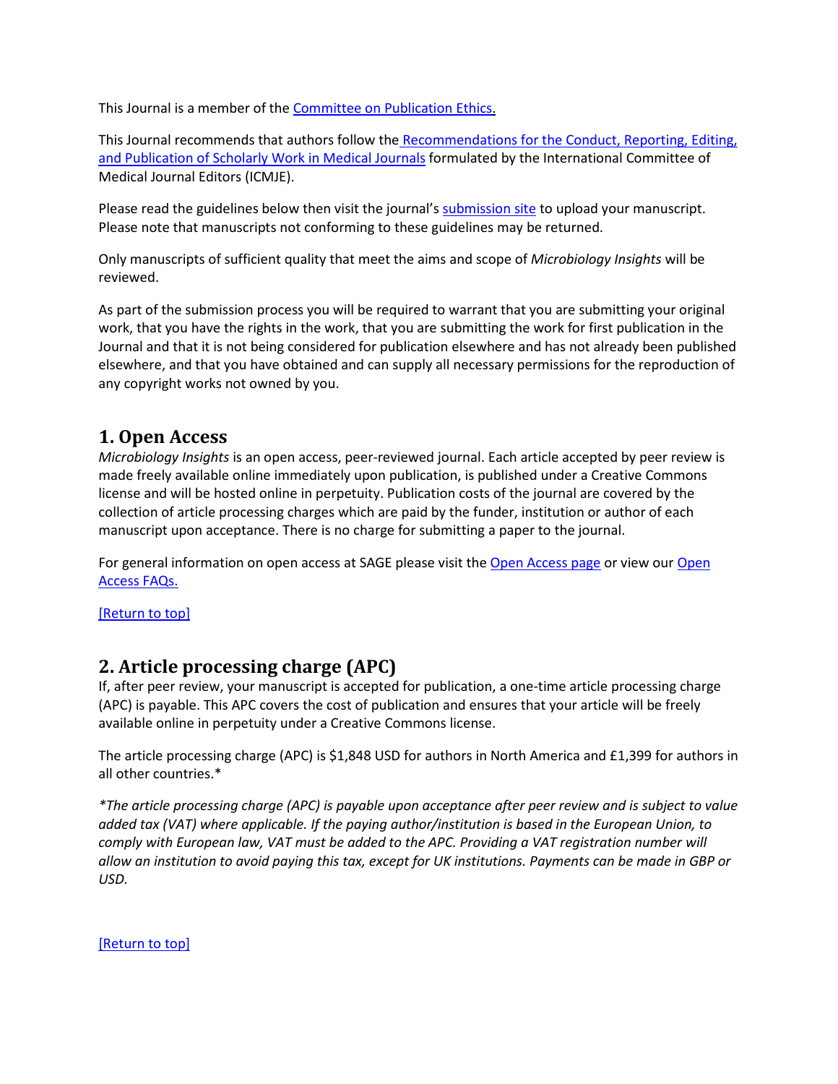This Journal is a member of the [Committee on Publication Ethics.](http://publicationethics.org/)

This Journal recommends that authors follow the [Recommendations for the Conduct, Reporting, Editing,](http://www.icmje.org/icmje-recommendations.pdf)  [and Publication of Scholarly Work in Medical Journals](http://www.icmje.org/icmje-recommendations.pdf) formulated by the International Committee of Medical Journal Editors (ICMJE).

Please read the guidelines below then visit the journal's [submission site](https://insights.sagepub.com/submit_step_1.php) to upload your manuscript. Please note that manuscripts not conforming to these guidelines may be returned.

Only manuscripts of sufficient quality that meet the aims and scope of *Microbiology Insights* will be reviewed.

As part of the submission process you will be required to warrant that you are submitting your original work, that you have the rights in the work, that you are submitting the work for first publication in the Journal and that it is not being considered for publication elsewhere and has not already been published elsewhere, and that you have obtained and can supply all necessary permissions for the reproduction of any copyright works not owned by you.

# <span id="page-1-0"></span>**1. Open Access**

*Microbiology Insights* is an open access, peer-reviewed journal. Each article accepted by peer review is made freely available online immediately upon publication, is published under a Creative Commons license and will be hosted online in perpetuity. Publication costs of the journal are covered by the collection of article processing charges which are paid by the funder, institution or author of each manuscript upon acceptance. There is no charge for submitting a paper to the journal.

For general information on open access at SAGE please visit the [Open Access page](http://www.sagepub.com/openaccess.cp) or view our Open [Access FAQs.](http://www.sagepub.com/oa/oafaq.cp)

[\[Return to top\]](#page-0-0)

# <span id="page-1-1"></span>**2. Article processing charge (APC)**

If, after peer review, your manuscript is accepted for publication, a one-time article processing charge (APC) is payable. This APC covers the cost of publication and ensures that your article will be freely available online in perpetuity under a Creative Commons license.

The article processing charge (APC) is \$1,848 USD for authors in North America and £1,399 for authors in all other countries.\*

*\*The article processing charge (APC) is payable upon acceptance after peer review and is subject to value added tax (VAT) where applicable. If the paying author/institution is based in the European Union, to comply with European law, VAT must be added to the APC. Providing a VAT registration number will allow an institution to avoid paying this tax, except for UK institutions. Payments can be made in GBP or USD.*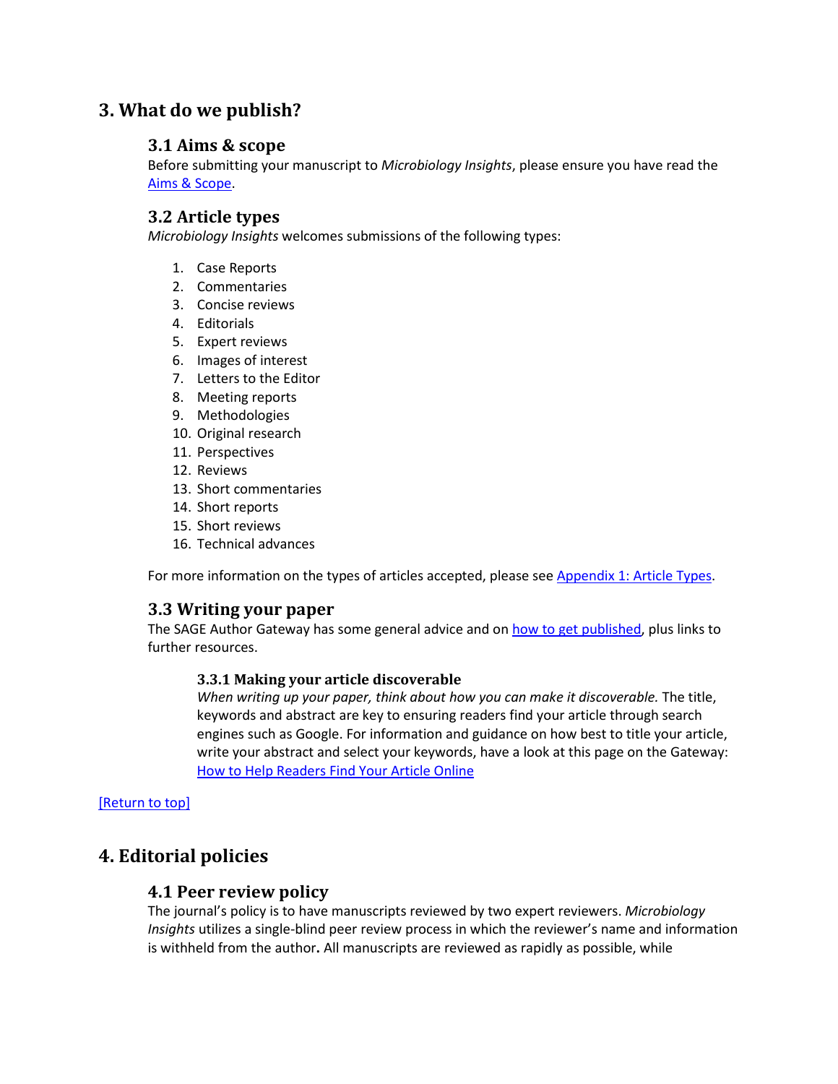# <span id="page-2-1"></span><span id="page-2-0"></span>**3. What do we publish?**

# **3.1 Aims & scope**

Before submitting your manuscript to *Microbiology Insights*, please ensure you have read the [Aims & Scope.](https://us.sagepub.com/en-us/nam/microbiology-insights/journal202679#aims-and-scope)

# <span id="page-2-2"></span>**3.2 Article types**

*Microbiology Insights* welcomes submissions of the following types:

- 1. Case Reports
- 2. Commentaries
- 3. Concise reviews
- 4. Editorials
- 5. Expert reviews
- 6. Images of interest
- 7. Letters to the Editor
- 8. Meeting reports
- 9. Methodologies
- 10. Original research
- 11. Perspectives
- 12. Reviews
- 13. Short commentaries
- 14. Short reports
- 15. Short reviews
- 16. Technical advances

For more information on the types of articles accepted, please see [Appendix 1: Article Types.](#page-11-0)

## <span id="page-2-3"></span>**3.3 Writing your paper**

The SAGE Author Gateway has some general advice and on [how to get published,](https://uk.sagepub.com/en-gb/eur/how-to-get-published) plus links to further resources.

## **3.3.1 Making your article discoverable**

When writing up your paper, think about how you can make it discoverable. The title, keywords and abstract are key to ensuring readers find your article through search engines such as Google. For information and guidance on how best to title your article, write your abstract and select your keywords, have a look at this page on the Gateway: [How to Help Readers Find Your Article Online](https://uk.sagepub.com/en-gb/eur/help-readers-find-your-article)

[\[Return to top\]](#page-0-0)

# <span id="page-2-5"></span><span id="page-2-4"></span>**4. Editorial policies**

# **4.1 Peer review policy**

The journal's policy is to have manuscripts reviewed by two expert reviewers. *Microbiology Insights* utilizes a single-blind peer review process in which the reviewer's name and information is withheld from the author**.** All manuscripts are reviewed as rapidly as possible, while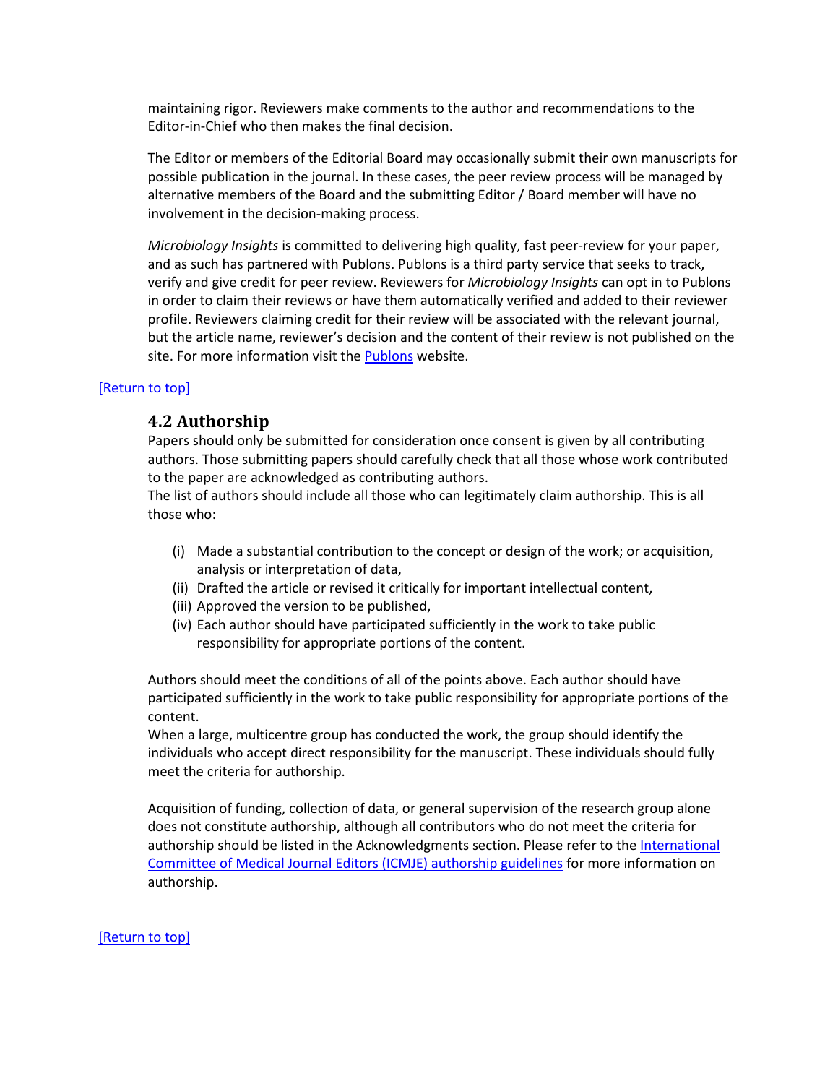maintaining rigor. Reviewers make comments to the author and recommendations to the Editor-in-Chief who then makes the final decision.

The Editor or members of the Editorial Board may occasionally submit their own manuscripts for possible publication in the journal. In these cases, the peer review process will be managed by alternative members of the Board and the submitting Editor / Board member will have no involvement in the decision-making process.

*Microbiology Insights* is committed to delivering high quality, fast peer-review for your paper, and as such has partnered with Publons. Publons is a third party service that seeks to track, verify and give credit for peer review. Reviewers for *Microbiology Insights* can opt in to Publons in order to claim their reviews or have them automatically verified and added to their reviewer profile. Reviewers claiming credit for their review will be associated with the relevant journal, but the article name, reviewer's decision and the content of their review is not published on the site. For more information visit the [Publons](http://home.publons.com/) website.

## <span id="page-3-0"></span>[\[Return to top\]](#page-0-0)

## **4.2 Authorship**

Papers should only be submitted for consideration once consent is given by all contributing authors. Those submitting papers should carefully check that all those whose work contributed to the paper are acknowledged as contributing authors.

The list of authors should include all those who can legitimately claim authorship. This is all those who:

- (i) Made a substantial contribution to the concept or design of the work; or acquisition, analysis or interpretation of data,
- (ii) Drafted the article or revised it critically for important intellectual content,
- (iii) Approved the version to be published,
- (iv) Each author should have participated sufficiently in the work to take public responsibility for appropriate portions of the content.

Authors should meet the conditions of all of the points above. Each author should have participated sufficiently in the work to take public responsibility for appropriate portions of the content.

When a large, multicentre group has conducted the work, the group should identify the individuals who accept direct responsibility for the manuscript. These individuals should fully meet the criteria for authorship.

Acquisition of funding, collection of data, or general supervision of the research group alone does not constitute authorship, although all contributors who do not meet the criteria for authorship should be listed in the Acknowledgments section. Please refer to th[e International](http://www.icmje.org/recommendations/browse/roles-and-responsibilities/defining-the-role-of-authors-and-contributors.html)  [Committee of Medical Journal Editors \(ICMJE\) authorship guidelines](http://www.icmje.org/recommendations/browse/roles-and-responsibilities/defining-the-role-of-authors-and-contributors.html) for more information on authorship.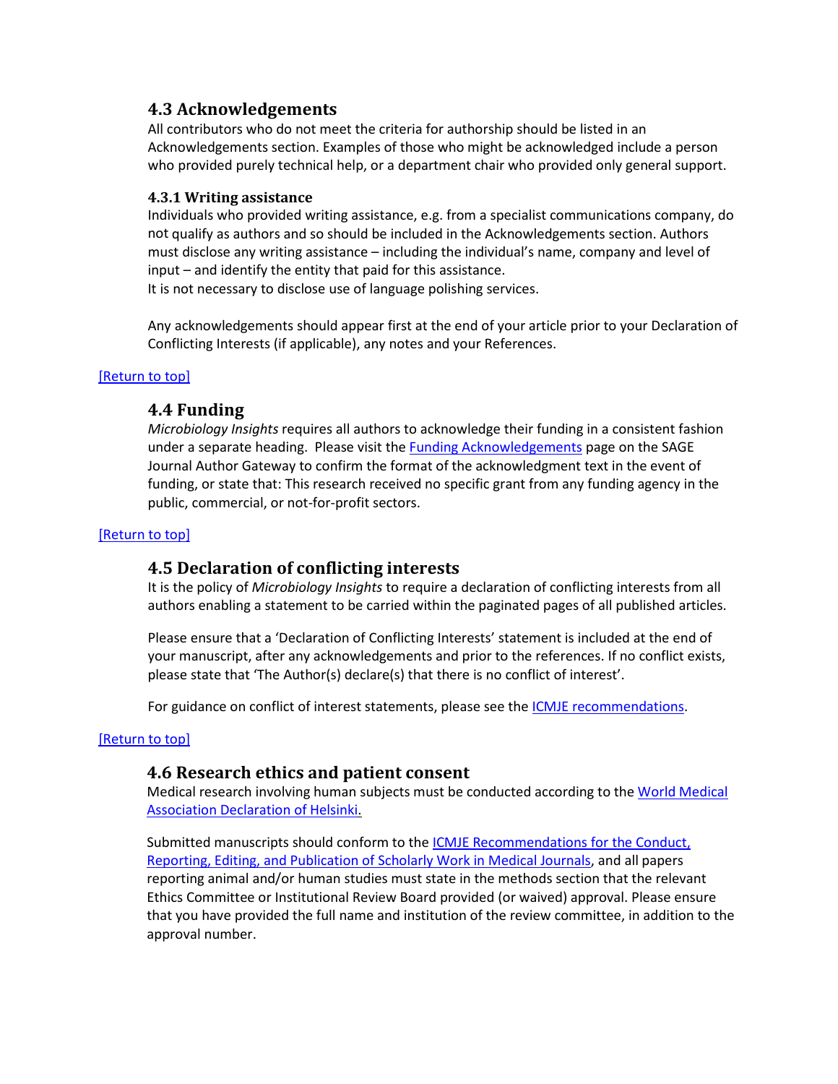# <span id="page-4-0"></span>**4.3 Acknowledgements**

All contributors who do not meet the criteria for authorship should be listed in an Acknowledgements section. Examples of those who might be acknowledged include a person who provided purely technical help, or a department chair who provided only general support.

## **4.3.1 Writing assistance**

Individuals who provided writing assistance, e.g. from a specialist communications company, do not qualify as authors and so should be included in the Acknowledgements section. Authors must disclose any writing assistance – including the individual's name, company and level of input – and identify the entity that paid for this assistance.

It is not necessary to disclose use of language polishing services.

Any acknowledgements should appear first at the end of your article prior to your Declaration of Conflicting Interests (if applicable), any notes and your References.

## <span id="page-4-1"></span>[\[Return to top\]](#page-0-0)

# **4.4 Funding**

*Microbiology Insights* requires all authors to acknowledge their funding in a consistent fashion under a separate heading. Please visit the [Funding Acknowledgements](http://www.uk.sagepub.com/authors/journal/funding.sp) page on the SAGE Journal Author Gateway to confirm the format of the acknowledgment text in the event of funding, or state that: This research received no specific grant from any funding agency in the public, commercial, or not-for-profit sectors.

## <span id="page-4-2"></span>[\[Return to top\]](#page-0-0)

# **4.5 Declaration of conflicting interests**

It is the policy of *Microbiology Insights* to require a declaration of conflicting interests from all authors enabling a statement to be carried within the paginated pages of all published articles.

Please ensure that a 'Declaration of Conflicting Interests' statement is included at the end of your manuscript, after any acknowledgements and prior to the references. If no conflict exists, please state that 'The Author(s) declare(s) that there is no conflict of interest'.

For guidance on conflict of interest statements, please see the *ICMJE* recommendations.

## [\[Return to top\]](#page-0-0)

## <span id="page-4-3"></span>**4.6 Research ethics and patient consent**

Medical research involving human subjects must be conducted according to the [World Medical](http://www.wma.net/en/30publications/10policies/b3/index.html)  [Association Declaration of Helsinki.](http://www.wma.net/en/30publications/10policies/b3/index.html)

Submitted manuscripts should conform to the [ICMJE Recommendations for the Conduct,](http://www.icmje.org/icmje-recommendations.pdf)  [Reporting, Editing, and Publication of Scholarly Work in Medical Journals,](http://www.icmje.org/icmje-recommendations.pdf) and all papers reporting animal and/or human studies must state in the methods section that the relevant Ethics Committee or Institutional Review Board provided (or waived) approval. Please ensure that you have provided the full name and institution of the review committee, in addition to the approval number.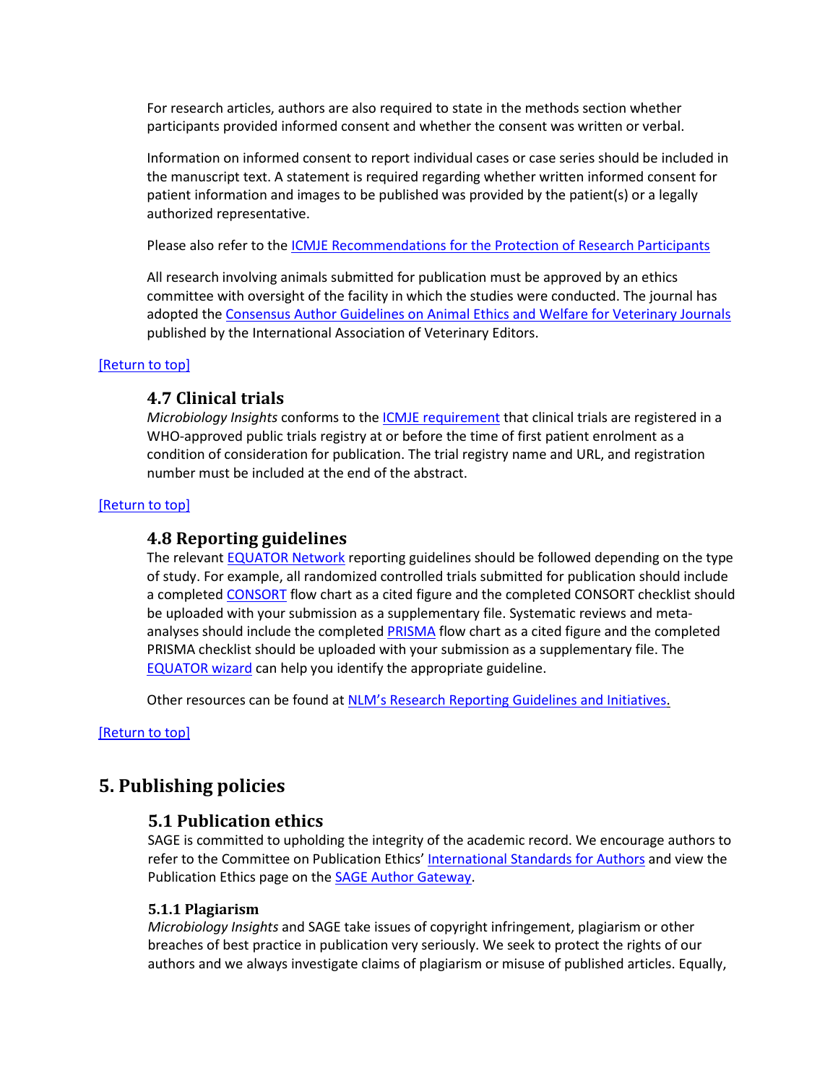For research articles, authors are also required to state in the methods section whether participants provided informed consent and whether the consent was written or verbal.

Information on informed consent to report individual cases or case series should be included in the manuscript text. A statement is required regarding whether written informed consent for patient information and images to be published was provided by the patient(s) or a legally authorized representative.

Please also refer to the [ICMJE Recommendations for the Protection of Research Participants](http://www.icmje.org/recommendations/browse/roles-and-responsibilities/protection-of-research-participants.html)

All research involving animals submitted for publication must be approved by an ethics committee with oversight of the facility in which the studies were conducted. The journal has adopted the [Consensus Author Guidelines on Animal Ethics and Welfare for Veterinary Journals](http://www.veteditors.org/consensus-author-guidelines-on-animal-ethics-and-welfare-for-editors/) published by the International Association of Veterinary Editors.

## <span id="page-5-0"></span>[\[Return to top\]](#page-0-0)

# **4.7 Clinical trials**

*Microbiology Insights* conforms to th[e ICMJE requirement](http://www.icmje.org/recommendations/browse/publishing-and-editorial-issues/clinical-trial-registration.html) that clinical trials are registered in a WHO-approved public trials registry at or before the time of first patient enrolment as a condition of consideration for publication. The trial registry name and URL, and registration number must be included at the end of the abstract.

## <span id="page-5-1"></span>[\[Return to top\]](#page-0-0)

## **4.8 Reporting guidelines**

The relevant [EQUATOR Network](http://www.equator-network.org/) reporting guidelines should be followed depending on the type of study. For example, all randomized controlled trials submitted for publication should include a complete[d CONSORT](http://www.consort-statement.org/downloads) flow chart as a cited figure and the completed CONSORT checklist should be uploaded with your submission as a supplementary file. Systematic reviews and meta-analyses should include the completed [PRISMA](http://www.equator-network.org/reporting-guidelines/prisma/) flow chart as a cited figure and the completed PRISMA checklist should be uploaded with your submission as a supplementary file. The [EQUATOR wizard](http://www.peneloperesearch.com/equatorwizard/) can help you identify the appropriate guideline.

Other resources can be found at [NLM's Research Reporting Guidelines and Initiatives.](http://www.nlm.nih.gov/services/research_report_guide.html)

## [\[Return to top\]](#page-0-0)

# <span id="page-5-3"></span><span id="page-5-2"></span>**5. Publishing policies**

# **5.1 Publication ethics**

SAGE is committed to upholding the integrity of the academic record. We encourage authors to refer to the Committee on Publication Ethics[' International Standards for Authors](http://publicationethics.org/files/International%20standards_authors_for%20website_11_Nov_2011.pdf) and view the Publication Ethics page on the [SAGE Author Gateway.](http://www.uk.sagepub.com/journalgateway/ethics.htm)

## **5.1.1 Plagiarism**

*Microbiology Insights* and SAGE take issues of copyright infringement, plagiarism or other breaches of best practice in publication very seriously. We seek to protect the rights of our authors and we always investigate claims of plagiarism or misuse of published articles. Equally,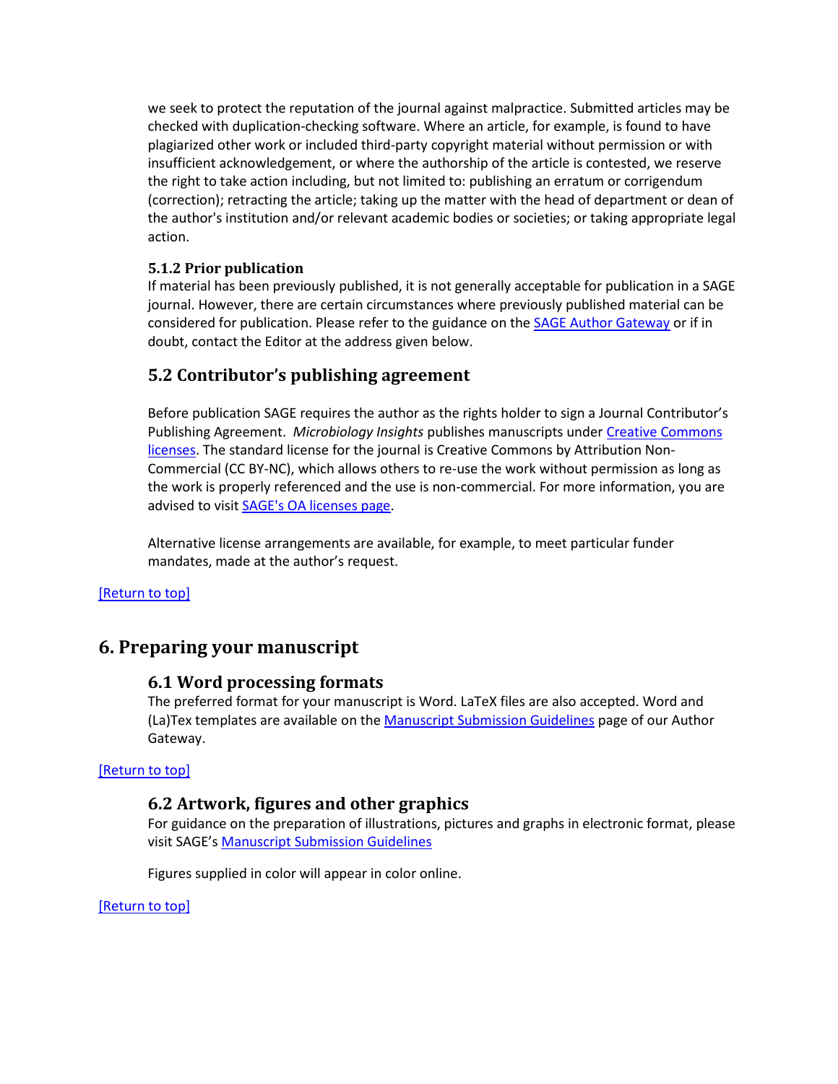we seek to protect the reputation of the journal against malpractice. Submitted articles may be checked with duplication-checking software. Where an article, for example, is found to have plagiarized other work or included third-party copyright material without permission or with insufficient acknowledgement, or where the authorship of the article is contested, we reserve the right to take action including, but not limited to: publishing an erratum or corrigendum (correction); retracting the article; taking up the matter with the head of department or dean of the author's institution and/or relevant academic bodies or societies; or taking appropriate legal action.

## **5.1.2 Prior publication**

If material has been previously published, it is not generally acceptable for publication in a SAGE journal. However, there are certain circumstances where previously published material can be considered for publication. Please refer to the guidance on the [SAGE Author Gateway](https://uk.sagepub.com/en-gb/eur/prior-publication) or if in doubt, contact the Editor at the address given below.

# <span id="page-6-0"></span>**5.2 Contributor's publishing agreement**

Before publication SAGE requires the author as the rights holder to sign a Journal Contributor's Publishing Agreement. *Microbiology Insights* publishes manuscripts under [Creative Commons](http://creativecommons.org/licenses/)  [licenses.](http://creativecommons.org/licenses/) The standard license for the journal is Creative Commons by Attribution Non-Commercial (CC BY-NC), which allows others to re-use the work without permission as long as the work is properly referenced and the use is non-commercial. For more information, you are advised to visit [SAGE's OA licenses page.](https://us.sagepub.com/en-us/nam/re-use-of-open-access-content)

Alternative license arrangements are available, for example, to meet particular funder mandates, made at the author's request.

## [\[Return to top\]](#page-0-0)

# <span id="page-6-2"></span><span id="page-6-1"></span>**6. Preparing your manuscript**

# **6.1 Word processing formats**

The preferred format for your manuscript is Word. LaTeX files are also accepted. Word and (La)Tex templates are available on the [Manuscript Submission Guidelines](https://uk.sagepub.com/en-gb/eur/manuscript-submission-guidelines#PreparingYourManuscript) page of our Author Gateway.

## <span id="page-6-3"></span>[\[Return to top\]](#page-0-0)

# **6.2 Artwork, figures and other graphics**

For guidance on the preparation of illustrations, pictures and graphs in electronic format, please visit SAGE's [Manuscript Submission Guidelines](http://www.uk.sagepub.com/journalgateway/msg.htm)

Figures supplied in color will appear in color online.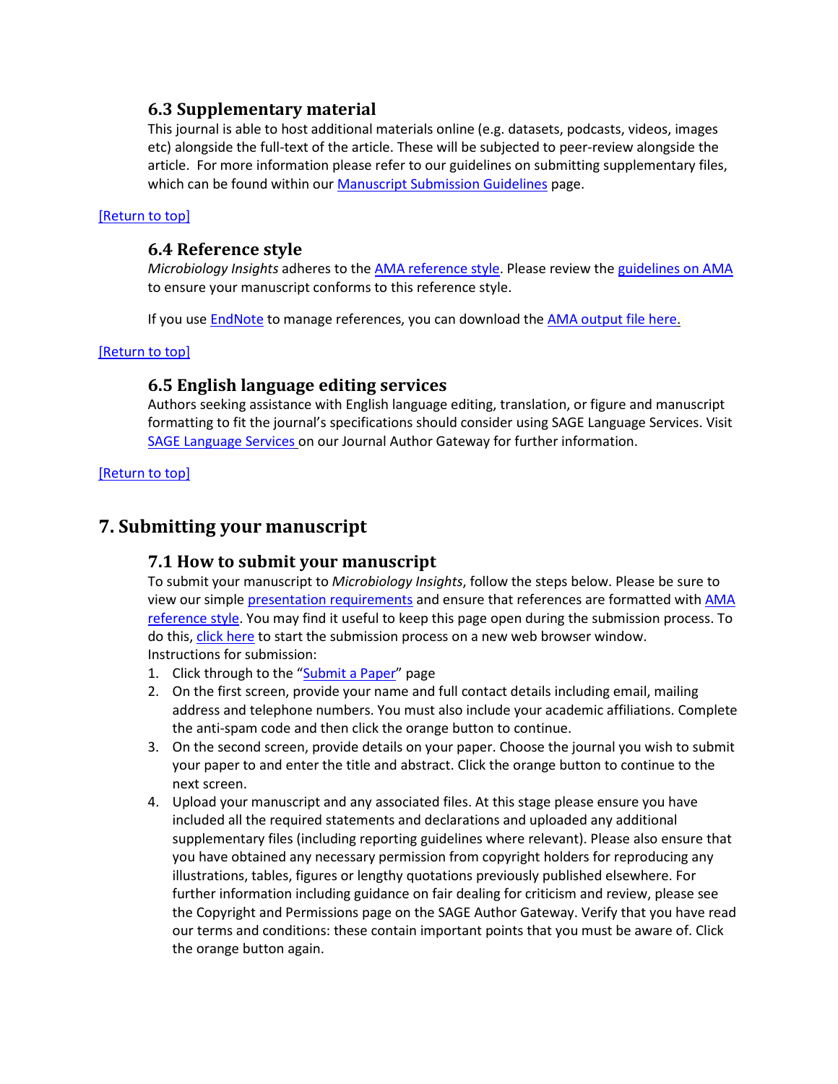# <span id="page-7-0"></span>**6.3 Supplementary material**

This journal is able to host additional materials online (e.g. datasets, podcasts, videos, images etc) alongside the full-text of the article. These will be subjected to peer-review alongside the article. For more information please refer to our guidelines on submitting supplementary files, which can be found within ou[r Manuscript Submission Guidelines](http://www.uk.sagepub.com/journalgateway/msg.htm) page.

## <span id="page-7-1"></span>[\[Return to top\]](#page-0-0)

## **6.4 Reference style**

*Microbiology Insights* adheres to the [AMA reference style.](http://www.amamanualofstyle.com/) Please review th[e guidelines on AMA](http://www.lib.jmu.edu/citation/amaguide.pdf) to ensure your manuscript conforms to this reference style.

If you us[e EndNote](http://www.endnote.com/) to manage references, you can download the [AMA output file here.](http://endnote.com/downloads/style/jama-journal-american-medical-association-ama-10th-edition)

## <span id="page-7-2"></span>[\[Return to top\]](#page-0-0)

## **6.5 English language editing services**

Authors seeking assistance with English language editing, translation, or figure and manuscript formatting to fit the journal's specifications should consider using SAGE Language Services. Visit [SAGE Language Services](http://www.uk.sagepub.com/journalgateway/engLang.htm) on our Journal Author Gateway for further information.

[\[Return to top\]](#page-0-0)

# <span id="page-7-4"></span><span id="page-7-3"></span>**7. Submitting your manuscript**

## **7.1 How to submit your manuscript**

To submit your manuscript to *Microbiology Insights*, follow the steps below. Please be sure to view our simple [presentation requirements](https://insights.sagepub.com/author_resources.php?folder_id=135&sub_menu_id=136) and ensure that references are formatted with AMA [reference style.](http://www.lib.jmu.edu/citation/amaguide.pdf) You may find it useful to keep this page open during the submission process. To do this[, click here](https://insights.sagepub.com/submit_step_1.php) to start the submission process on a new web browser window. Instructions for submission:

- 1. Click through to the ["Submit a Paper"](https://insights.sagepub.com/submit_step_1.php) page
- 2. On the first screen, provide your name and full contact details including email, mailing address and telephone numbers. You must also include your academic affiliations. Complete the anti-spam code and then click the orange button to continue.
- 3. On the second screen, provide details on your paper. Choose the journal you wish to submit your paper to and enter the title and abstract. Click the orange button to continue to the next screen.
- 4. Upload your manuscript and any associated files. At this stage please ensure you have included all the required statements and declarations and uploaded any additional supplementary files (including reporting guidelines where relevant). Please also ensure that you have obtained any necessary permission from copyright holders for reproducing any illustrations, tables, figures or lengthy quotations previously published elsewhere. For further information including guidance on fair dealing for criticism and review, please see the Copyright and Permissions page on the SAGE Author Gateway. Verify that you have read our terms and conditions: these contain important points that you must be aware of. Click the orange button again.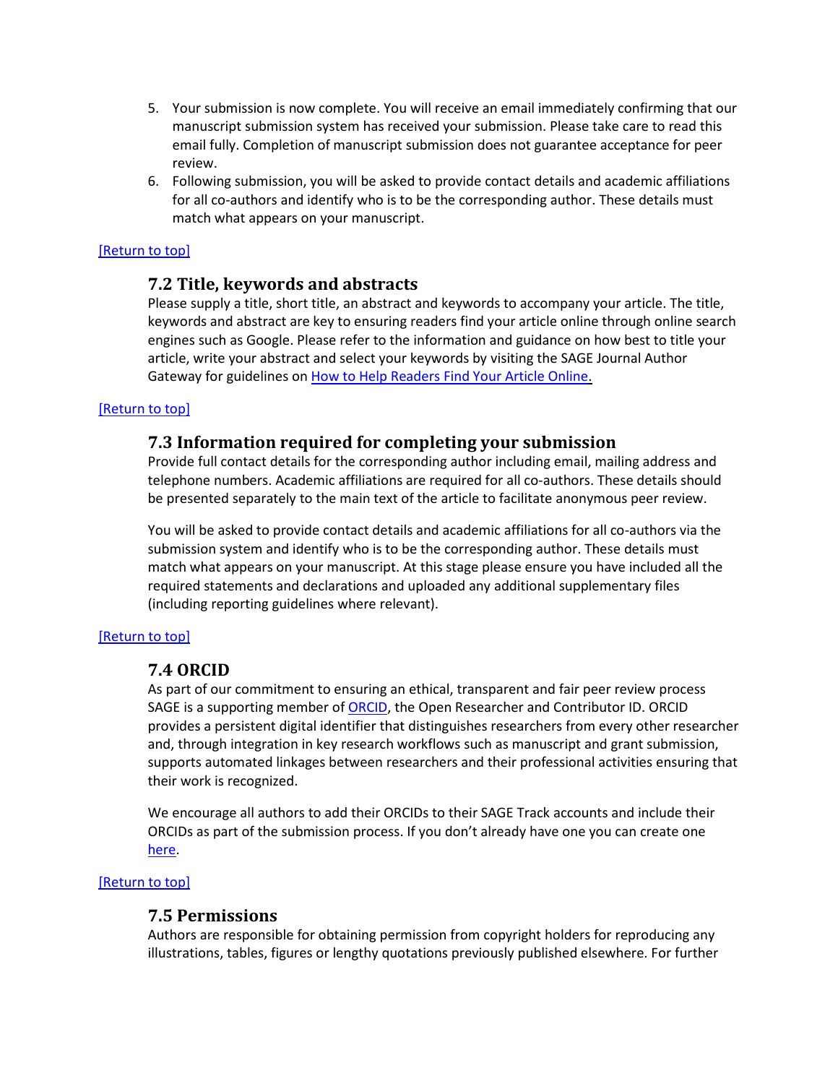- 5. Your submission is now complete. You will receive an email immediately confirming that our manuscript submission system has received your submission. Please take care to read this email fully. Completion of manuscript submission does not guarantee acceptance for peer review.
- 6. Following submission, you will be asked to provide contact details and academic affiliations for all co-authors and identify who is to be the corresponding author. These details must match what appears on your manuscript.

## <span id="page-8-0"></span>[\[Return to top\]](#page-0-0)

## **7.2 Title, keywords and abstracts**

Please supply a title, short title, an abstract and keywords to accompany your article. The title, keywords and abstract are key to ensuring readers find your article online through online search engines such as Google. Please refer to the information and guidance on how best to title your article, write your abstract and select your keywords by visiting the SAGE Journal Author Gateway for guidelines o[n How to Help Readers Find Your Article Online.](http://www.uk.sagepub.com/journalgateway/findArticle.htm)

#### <span id="page-8-1"></span>[\[Return to top\]](#page-0-0)

## **7.3 Information required for completing your submission**

Provide full contact details for the corresponding author including email, mailing address and telephone numbers. Academic affiliations are required for all co-authors. These details should be presented separately to the main text of the article to facilitate anonymous peer review.

You will be asked to provide contact details and academic affiliations for all co-authors via the submission system and identify who is to be the corresponding author. These details must match what appears on your manuscript. At this stage please ensure you have included all the required statements and declarations and uploaded any additional supplementary files (including reporting guidelines where relevant).

#### <span id="page-8-2"></span>[\[Return to top\]](#page-0-0)

## **7.4 ORCID**

As part of our commitment to ensuring an ethical, transparent and fair peer review process SAGE is a supporting member o[f ORCID,](https://orcid.org/register) the Open Researcher and Contributor ID. ORCID provides a persistent digital identifier that distinguishes researchers from every other researcher and, through integration in key research workflows such as manuscript and grant submission, supports automated linkages between researchers and their professional activities ensuring that their work is recognized.

We encourage all authors to add their ORCIDs to their SAGE Track accounts and include their ORCIDs as part of the submission process. If you don't already have one you can create one [here.](https://orcid.org/register)

#### <span id="page-8-3"></span>[\[Return to top\]](#page-0-0)

## **7.5 Permissions**

Authors are responsible for obtaining permission from copyright holders for reproducing any illustrations, tables, figures or lengthy quotations previously published elsewhere. For further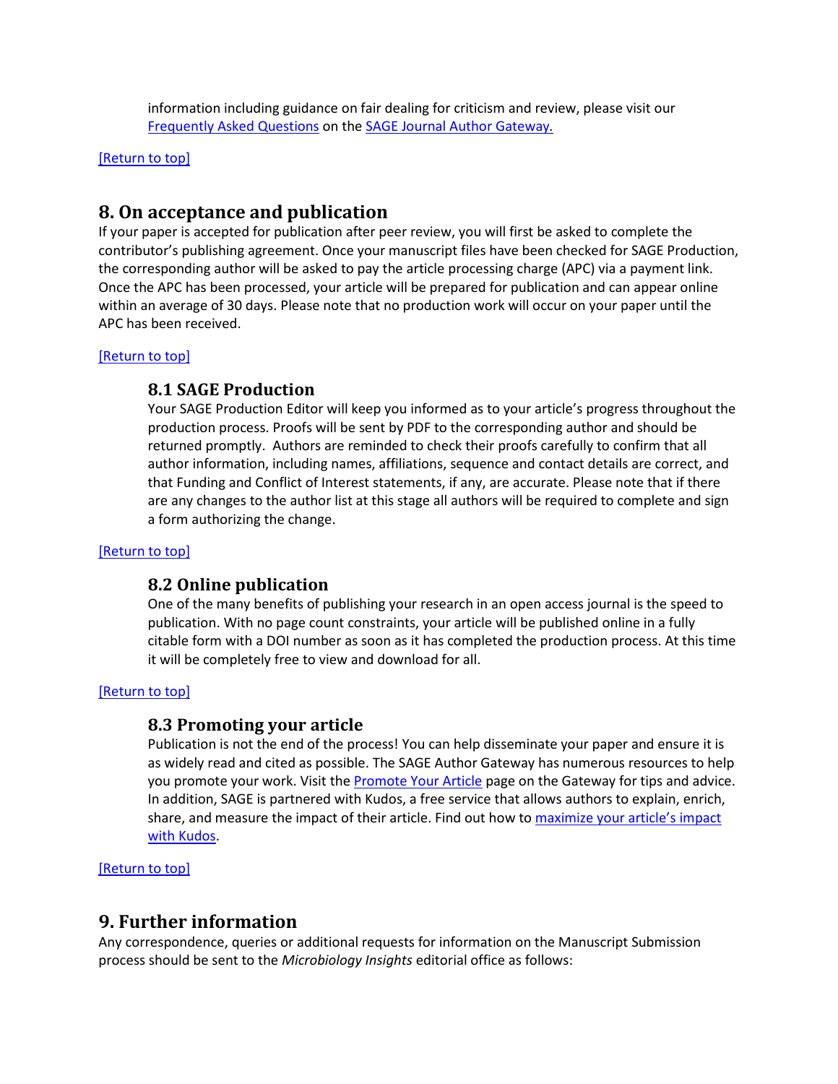information including guidance on fair dealing for criticism and review, please visit our [Frequently Asked Questions](http://www.uk.sagepub.com/journalgateway/authorFAQs.htm) on the [SAGE Journal Author Gateway](http://www.uk.sagepub.com/journalgateway/pubPolicies.htm)*.*

[\[Return to top\]](#page-0-0)

# <span id="page-9-0"></span>**8. On acceptance and publication**

If your paper is accepted for publication after peer review, you will first be asked to complete the contributor's publishing agreement. Once your manuscript files have been checked for SAGE Production, the corresponding author will be asked to pay the article processing charge (APC) via a payment link. Once the APC has been processed, your article will be prepared for publication and can appear online within an average of 30 days. Please note that no production work will occur on your paper until the APC has been received.

## <span id="page-9-1"></span>[\[Return to top\]](#page-0-0)

# **8.1 SAGE Production**

Your SAGE Production Editor will keep you informed as to your article's progress throughout the production process. Proofs will be sent by PDF to the corresponding author and should be returned promptly. Authors are reminded to check their proofs carefully to confirm that all author information, including names, affiliations, sequence and contact details are correct, and that Funding and Conflict of Interest statements, if any, are accurate. Please note that if there are any changes to the author list at this stage all authors will be required to complete and sign a form authorizing the change.

## <span id="page-9-2"></span>[\[Return to top\]](#page-0-0)

# **8.2 Online publication**

One of the many benefits of publishing your research in an open access journal is the speed to publication. With no page count constraints, your article will be published online in a fully citable form with a DOI number as soon as it has completed the production process. At this time it will be completely free to view and download for all.

## <span id="page-9-3"></span>[\[Return to top\]](#page-0-0)

## **8.3 Promoting your article**

Publication is not the end of the process! You can help disseminate your paper and ensure it is as widely read and cited as possible. The SAGE Author Gateway has numerous resources to help you promote your work. Visit th[e Promote Your Article](https://uk.sagepub.com/en-gb/eur/promote-your-article) page on the Gateway for tips and advice. In addition, SAGE is partnered with Kudos, a free service that allows authors to explain, enrich, share, and measure the impact of their article. Find out how to [maximize your article's impact](https://uk.sagepub.com/en-gb/eur/maximize-your-articles-impact-with-kudos)  [with Kudos.](https://uk.sagepub.com/en-gb/eur/maximize-your-articles-impact-with-kudos)

<span id="page-9-4"></span>[\[Return to top\]](#page-0-0)

# **9. Further information**

Any correspondence, queries or additional requests for information on the Manuscript Submission process should be sent to the *Microbiology Insights* editorial office as follows: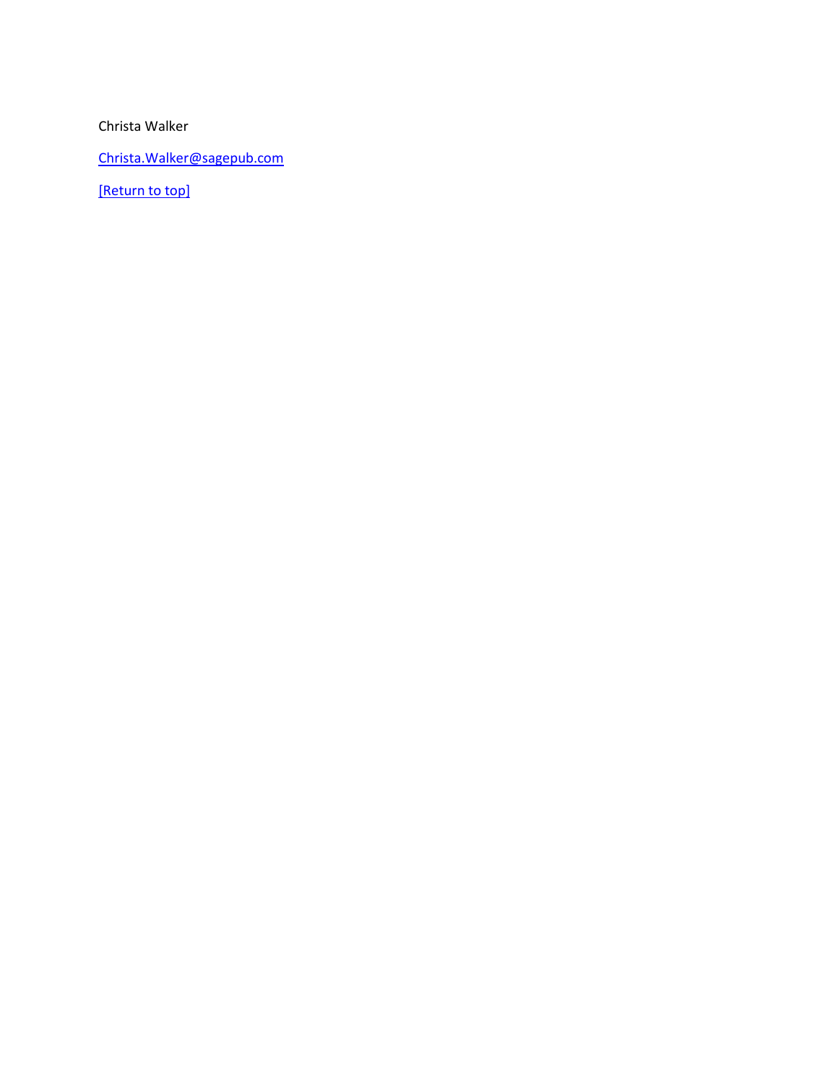Christa Walker

[Christa.Walker@sagepub.com](mailto:Christa.Walker@sagepub.com)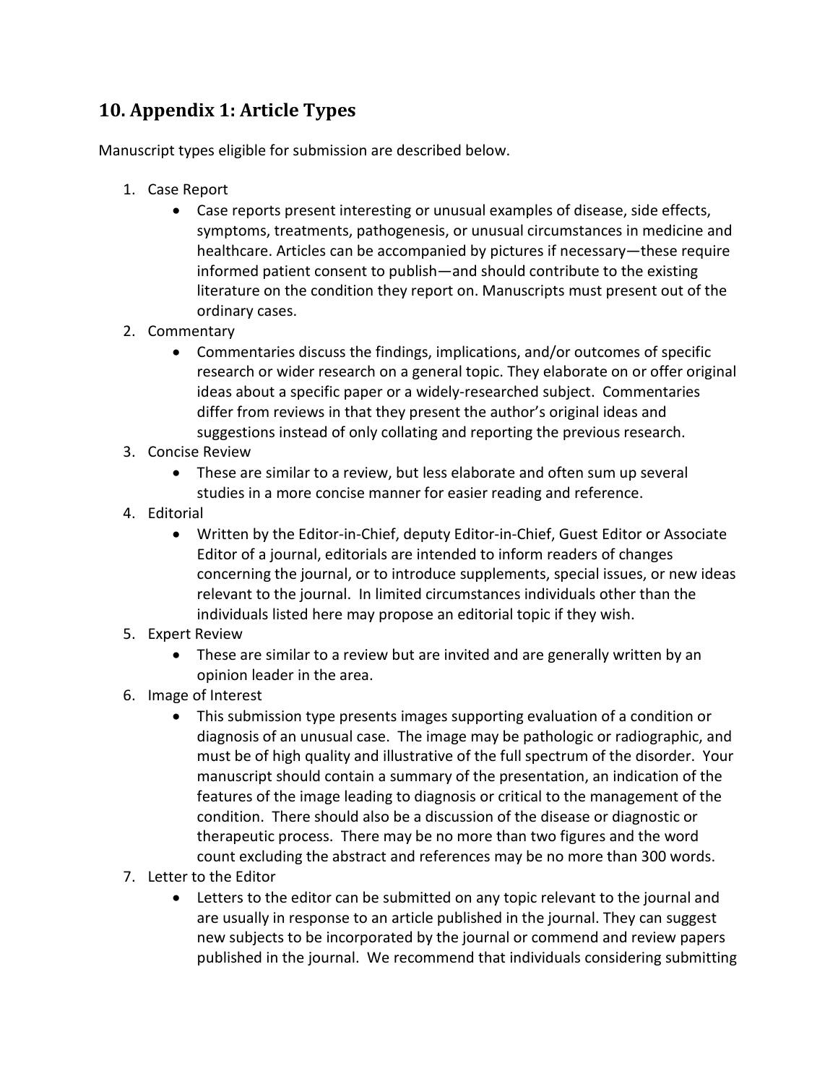# <span id="page-11-0"></span>**10. Appendix 1: Article Types**

Manuscript types eligible for submission are described below.

- 1. Case Report
	- Case reports present interesting or unusual examples of disease, side effects, symptoms, treatments, pathogenesis, or unusual circumstances in medicine and healthcare. Articles can be accompanied by pictures if necessary—these require informed patient consent to publish—and should contribute to the existing literature on the condition they report on. Manuscripts must present out of the ordinary cases.
- 2. Commentary
	- Commentaries discuss the findings, implications, and/or outcomes of specific research or wider research on a general topic. They elaborate on or offer original ideas about a specific paper or a widely-researched subject. Commentaries differ from reviews in that they present the author's original ideas and suggestions instead of only collating and reporting the previous research.
- 3. Concise Review
	- These are similar to a review, but less elaborate and often sum up several studies in a more concise manner for easier reading and reference.
- 4. Editorial
	- Written by the Editor-in-Chief, deputy Editor-in-Chief, Guest Editor or Associate Editor of a journal, editorials are intended to inform readers of changes concerning the journal, or to introduce supplements, special issues, or new ideas relevant to the journal. In limited circumstances individuals other than the individuals listed here may propose an editorial topic if they wish.
- 5. Expert Review
	- These are similar to a review but are invited and are generally written by an opinion leader in the area.
- 6. Image of Interest
	- This submission type presents images supporting evaluation of a condition or diagnosis of an unusual case. The image may be pathologic or radiographic, and must be of high quality and illustrative of the full spectrum of the disorder. Your manuscript should contain a summary of the presentation, an indication of the features of the image leading to diagnosis or critical to the management of the condition. There should also be a discussion of the disease or diagnostic or therapeutic process. There may be no more than two figures and the word count excluding the abstract and references may be no more than 300 words.
- 7. Letter to the Editor
	- Letters to the editor can be submitted on any topic relevant to the journal and are usually in response to an article published in the journal. They can suggest new subjects to be incorporated by the journal or commend and review papers published in the journal. We recommend that individuals considering submitting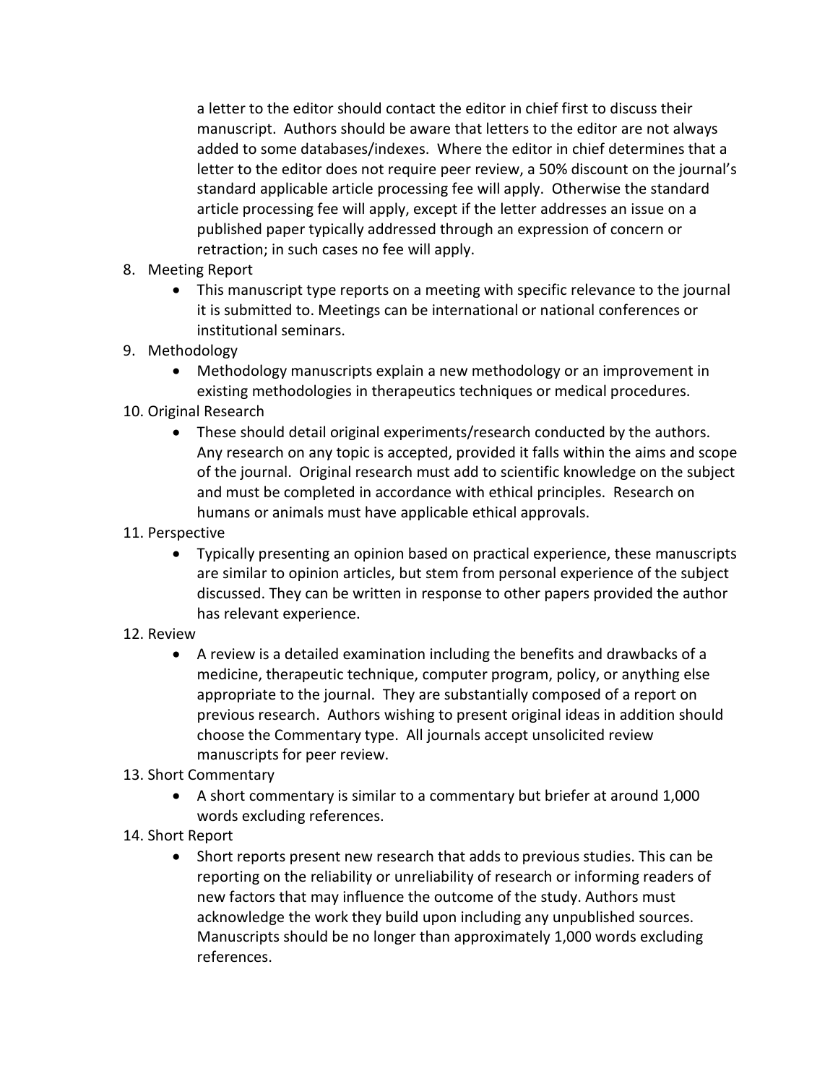a letter to the editor should contact the editor in chief first to discuss their manuscript. Authors should be aware that letters to the editor are not always added to some databases/indexes. Where the editor in chief determines that a letter to the editor does not require peer review, a 50% discount on the journal's standard applicable article processing fee will apply. Otherwise the standard article processing fee will apply, except if the letter addresses an issue on a published paper typically addressed through an expression of concern or retraction; in such cases no fee will apply.

- 8. Meeting Report
	- This manuscript type reports on a meeting with specific relevance to the journal it is submitted to. Meetings can be international or national conferences or institutional seminars.
- 9. Methodology
	- Methodology manuscripts explain a new methodology or an improvement in existing methodologies in therapeutics techniques or medical procedures.
- 10. Original Research
	- These should detail original experiments/research conducted by the authors. Any research on any topic is accepted, provided it falls within the aims and scope of the journal. Original research must add to scientific knowledge on the subject and must be completed in accordance with ethical principles. Research on humans or animals must have applicable ethical approvals.
- 11. Perspective
	- Typically presenting an opinion based on practical experience, these manuscripts are similar to opinion articles, but stem from personal experience of the subject discussed. They can be written in response to other papers provided the author has relevant experience.
- 12. Review
	- A review is a detailed examination including the benefits and drawbacks of a medicine, therapeutic technique, computer program, policy, or anything else appropriate to the journal. They are substantially composed of a report on previous research. Authors wishing to present original ideas in addition should choose the Commentary type. All journals accept unsolicited review manuscripts for peer review.
- 13. Short Commentary
	- A short commentary is similar to a commentary but briefer at around 1,000 words excluding references.
- 14. Short Report
	- Short reports present new research that adds to previous studies. This can be reporting on the reliability or unreliability of research or informing readers of new factors that may influence the outcome of the study. Authors must acknowledge the work they build upon including any unpublished sources. Manuscripts should be no longer than approximately 1,000 words excluding references.